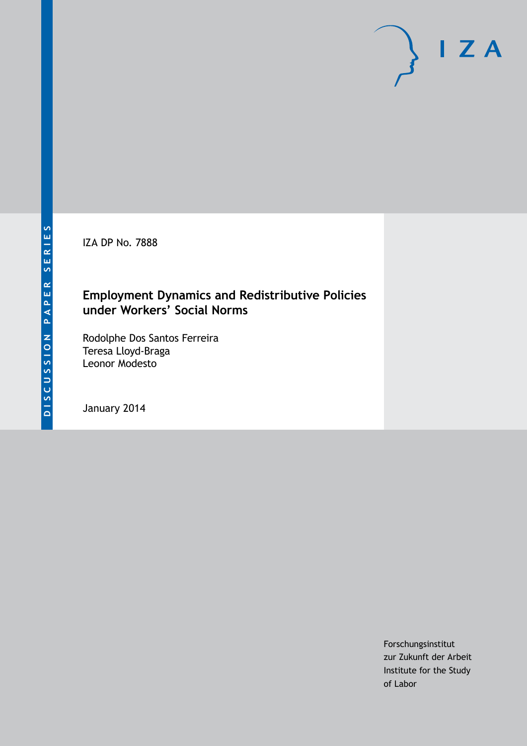IZA DP No. 7888

# **Employment Dynamics and Redistributive Policies under Workers' Social Norms**

Rodolphe Dos Santos Ferreira Teresa Lloyd-Braga Leonor Modesto

January 2014

Forschungsinstitut zur Zukunft der Arbeit Institute for the Study of Labor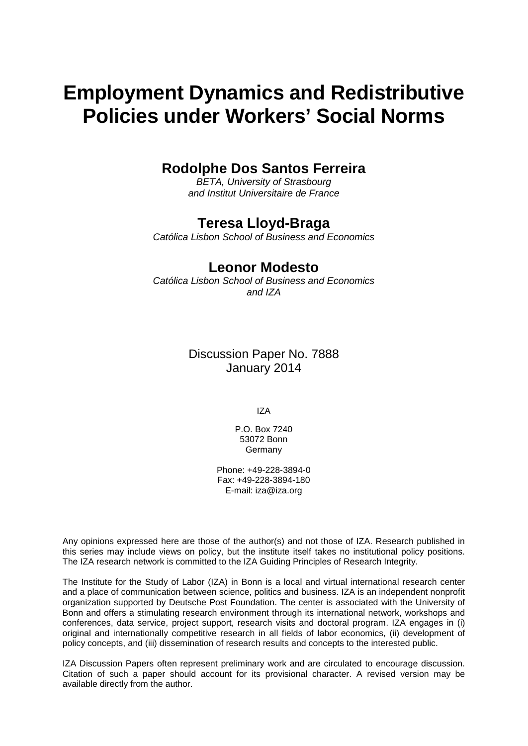# **Employment Dynamics and Redistributive Policies under Workers' Social Norms**

# **Rodolphe Dos Santos Ferreira**

*BETA, University of Strasbourg and Institut Universitaire de France*

## **Teresa Lloyd-Braga**

*Católica Lisbon School of Business and Economics*

### **Leonor Modesto**

*Católica Lisbon School of Business and Economics and IZA*

> Discussion Paper No. 7888 January 2014

> > IZA

P.O. Box 7240 53072 Bonn Germany

Phone: +49-228-3894-0 Fax: +49-228-3894-180 E-mail: [iza@iza.org](mailto:iza@iza.org)

Any opinions expressed here are those of the author(s) and not those of IZA. Research published in this series may include views on policy, but the institute itself takes no institutional policy positions. The IZA research network is committed to the IZA Guiding Principles of Research Integrity.

The Institute for the Study of Labor (IZA) in Bonn is a local and virtual international research center and a place of communication between science, politics and business. IZA is an independent nonprofit organization supported by Deutsche Post Foundation. The center is associated with the University of Bonn and offers a stimulating research environment through its international network, workshops and conferences, data service, project support, research visits and doctoral program. IZA engages in (i) original and internationally competitive research in all fields of labor economics, (ii) development of policy concepts, and (iii) dissemination of research results and concepts to the interested public.

<span id="page-1-0"></span>IZA Discussion Papers often represent preliminary work and are circulated to encourage discussion. Citation of such a paper should account for its provisional character. A revised version may be available directly from the author.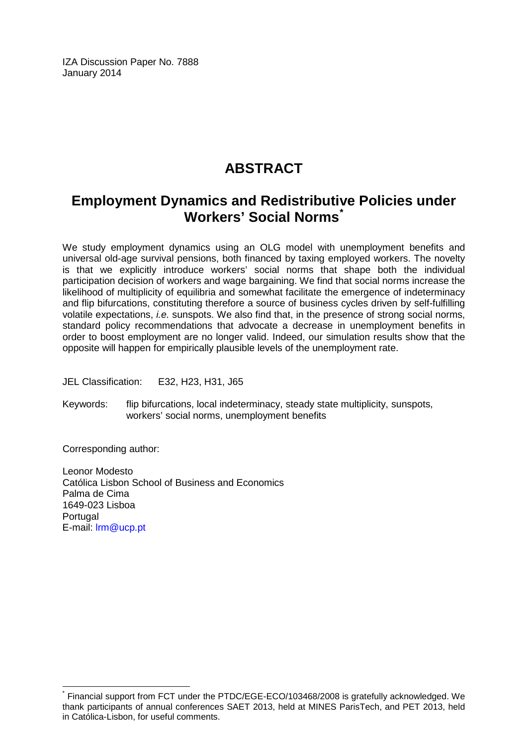IZA Discussion Paper No. 7888 January 2014

# **ABSTRACT**

# **Employment Dynamics and Redistributive Policies under Workers' Social Norms[\\*](#page-1-0)**

We study employment dynamics using an OLG model with unemployment benefits and universal old-age survival pensions, both financed by taxing employed workers. The novelty is that we explicitly introduce workers' social norms that shape both the individual participation decision of workers and wage bargaining. We find that social norms increase the likelihood of multiplicity of equilibria and somewhat facilitate the emergence of indeterminacy and flip bifurcations, constituting therefore a source of business cycles driven by self-fulfilling volatile expectations, *i.e.* sunspots. We also find that, in the presence of strong social norms, standard policy recommendations that advocate a decrease in unemployment benefits in order to boost employment are no longer valid. Indeed, our simulation results show that the opposite will happen for empirically plausible levels of the unemployment rate.

JEL Classification: E32, H23, H31, J65

Keywords: flip bifurcations, local indeterminacy, steady state multiplicity, sunspots, workers' social norms, unemployment benefits

Corresponding author:

Leonor Modesto Católica Lisbon School of Business and Economics Palma de Cima 1649-023 Lisboa Portugal E-mail: [lrm@ucp.pt](mailto:lrm@ucp.pt)

\* Financial support from FCT under the PTDC/EGE-ECO/103468/2008 is gratefully acknowledged. We thank participants of annual conferences SAET 2013, held at MINES ParisTech, and PET 2013, held in Católica-Lisbon, for useful comments.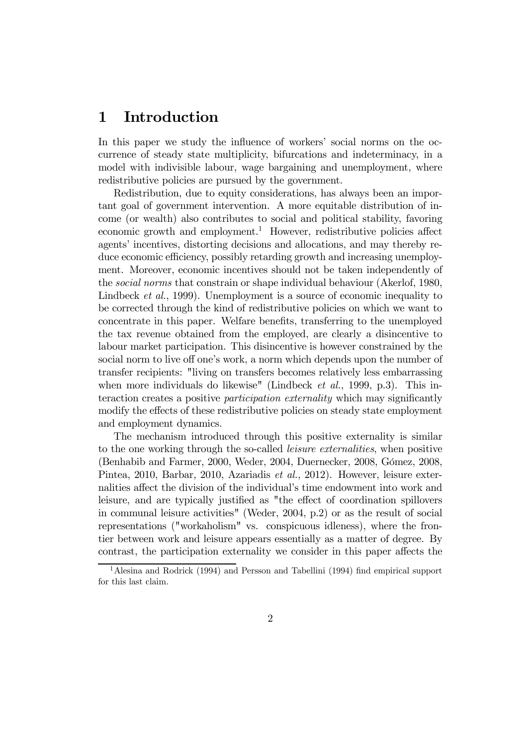# 1 Introduction

In this paper we study the influence of workers' social norms on the occurrence of steady state multiplicity, bifurcations and indeterminacy, in a model with indivisible labour, wage bargaining and unemployment, where redistributive policies are pursued by the government.

Redistribution, due to equity considerations, has always been an important goal of government intervention. A more equitable distribution of income (or wealth) also contributes to social and political stability, favoring economic growth and employment.<sup>1</sup> However, redistributive policies affect agents' incentives, distorting decisions and allocations, and may thereby reduce economic efficiency, possibly retarding growth and increasing unemployment. Moreover, economic incentives should not be taken independently of the social norms that constrain or shape individual behaviour (Akerlof, 1980, Lindbeck *et al.*, 1999). Unemployment is a source of economic inequality to be corrected through the kind of redistributive policies on which we want to concentrate in this paper. Welfare benefits, transferring to the unemployed the tax revenue obtained from the employed, are clearly a disincentive to labour market participation. This disincentive is however constrained by the social norm to live off one's work, a norm which depends upon the number of transfer recipients: "living on transfers becomes relatively less embarrassing when more individuals do likewise" (Lindbeck *et al.*, 1999, p.3). This interaction creates a positive participation externality which may significantly modify the effects of these redistributive policies on steady state employment and employment dynamics.

The mechanism introduced through this positive externality is similar to the one working through the so-called leisure externalities, when positive (Benhabib and Farmer, 2000, Weder, 2004, Duernecker, 2008, Gómez, 2008, Pintea, 2010, Barbar, 2010, Azariadis et al., 2012). However, leisure externalities affect the division of the individual's time endowment into work and leisure, and are typically justified as "the effect of coordination spillovers in communal leisure activities" (Weder, 2004, p.2) or as the result of social representations ("workaholism" vs. conspicuous idleness), where the frontier between work and leisure appears essentially as a matter of degree. By contrast, the participation externality we consider in this paper affects the

<sup>&</sup>lt;sup>1</sup> Alesina and Rodrick (1994) and Persson and Tabellini (1994) find empirical support for this last claim.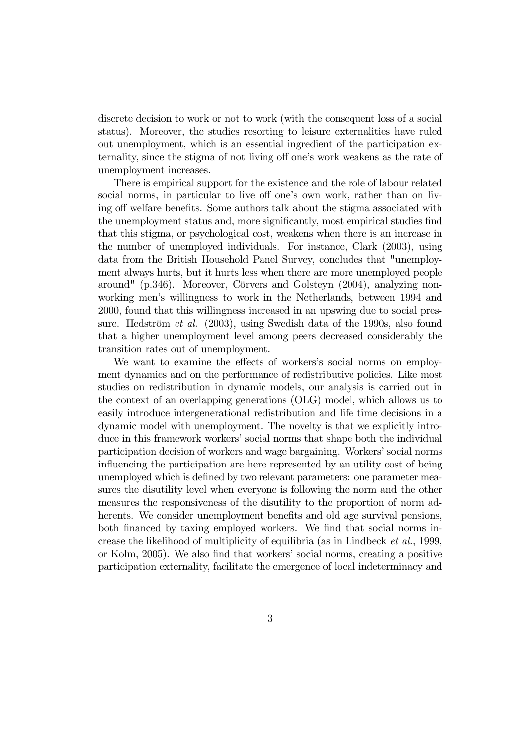discrete decision to work or not to work (with the consequent loss of a social status). Moreover, the studies resorting to leisure externalities have ruled out unemployment, which is an essential ingredient of the participation externality, since the stigma of not living off one's work weakens as the rate of unemployment increases.

There is empirical support for the existence and the role of labour related social norms, in particular to live off one's own work, rather than on living off welfare benefits. Some authors talk about the stigma associated with the unemployment status and, more significantly, most empirical studies find that this stigma, or psychological cost, weakens when there is an increase in the number of unemployed individuals. For instance, Clark (2003), using data from the British Household Panel Survey, concludes that "unemployment always hurts, but it hurts less when there are more unemployed people around" (p.346). Moreover, Cörvers and Golsteyn (2004), analyzing nonworking men's willingness to work in the Netherlands, between 1994 and 2000, found that this willingness increased in an upswing due to social pressure. Hedström et al. (2003), using Swedish data of the 1990s, also found that a higher unemployment level among peers decreased considerably the transition rates out of unemployment.

We want to examine the effects of workers's social norms on employment dynamics and on the performance of redistributive policies. Like most studies on redistribution in dynamic models, our analysis is carried out in the context of an overlapping generations (OLG) model, which allows us to easily introduce intergenerational redistribution and life time decisions in a dynamic model with unemployment. The novelty is that we explicitly introduce in this framework workers' social norms that shape both the individual participation decision of workers and wage bargaining. Workers' social norms influencing the participation are here represented by an utility cost of being unemployed which is defined by two relevant parameters: one parameter measures the disutility level when everyone is following the norm and the other measures the responsiveness of the disutility to the proportion of norm adherents. We consider unemployment benefits and old age survival pensions, both financed by taxing employed workers. We find that social norms increase the likelihood of multiplicity of equilibria (as in Lindbeck et al., 1999, or Kolm, 2005). We also find that workers' social norms, creating a positive participation externality, facilitate the emergence of local indeterminacy and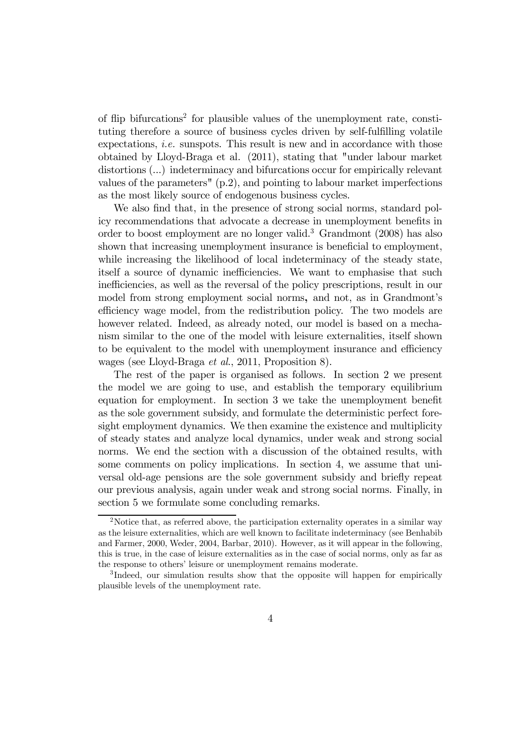of flip bifurcations<sup>2</sup> for plausible values of the unemployment rate, constituting therefore a source of business cycles driven by self-fulfilling volatile expectations, *i.e.* sunspots. This result is new and in accordance with those obtained by Lloyd-Braga et al. (2011), stating that "under labour market distortions (...) indeterminacy and bifurcations occur for empirically relevant values of the parameters" (p.2), and pointing to labour market imperfections as the most likely source of endogenous business cycles.

We also find that, in the presence of strong social norms, standard policy recommendations that advocate a decrease in unemployment benefits in order to boost employment are no longer valid.<sup>3</sup> Grandmont (2008) has also shown that increasing unemployment insurance is beneficial to employment, while increasing the likelihood of local indeterminacy of the steady state, itself a source of dynamic inefficiencies. We want to emphasise that such inefficiencies, as well as the reversal of the policy prescriptions, result in our model from strong employment social norms, and not, as in Grandmont's efficiency wage model, from the redistribution policy. The two models are however related. Indeed, as already noted, our model is based on a mechanism similar to the one of the model with leisure externalities, itself shown to be equivalent to the model with unemployment insurance and efficiency wages (see Lloyd-Braga et al., 2011, Proposition 8).

The rest of the paper is organised as follows. In section 2 we present the model we are going to use, and establish the temporary equilibrium equation for employment. In section 3 we take the unemployment benefit as the sole government subsidy, and formulate the deterministic perfect foresight employment dynamics. We then examine the existence and multiplicity of steady states and analyze local dynamics, under weak and strong social norms. We end the section with a discussion of the obtained results, with some comments on policy implications. In section 4, we assume that universal old-age pensions are the sole government subsidy and briefly repeat our previous analysis, again under weak and strong social norms. Finally, in section 5 we formulate some concluding remarks.

<sup>&</sup>lt;sup>2</sup>Notice that, as referred above, the participation externality operates in a similar way as the leisure externalities, which are well known to facilitate indeterminacy (see Benhabib and Farmer, 2000, Weder, 2004, Barbar, 2010). However, as it will appear in the following, this is true, in the case of leisure externalities as in the case of social norms, only as far as the response to others' leisure or unemployment remains moderate.

<sup>&</sup>lt;sup>3</sup>Indeed, our simulation results show that the opposite will happen for empirically plausible levels of the unemployment rate.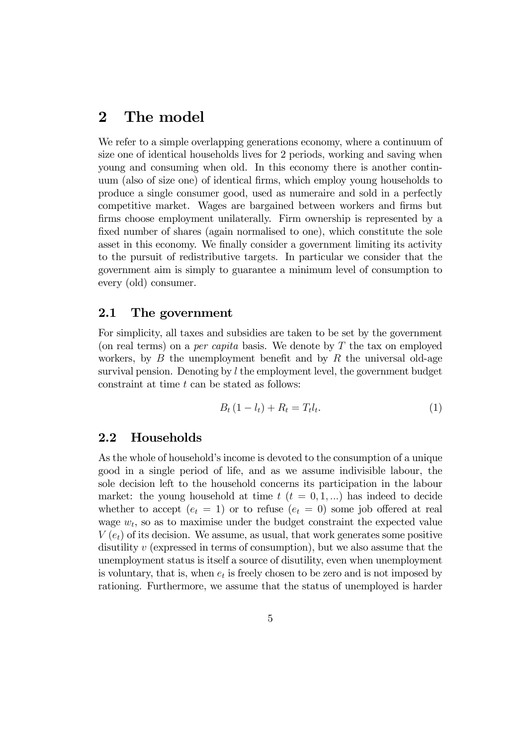# 2 The model

We refer to a simple overlapping generations economy, where a continuum of size one of identical households lives for 2 periods, working and saving when young and consuming when old. In this economy there is another continuum (also of size one) of identical firms, which employ young households to produce a single consumer good, used as numeraire and sold in a perfectly competitive market. Wages are bargained between workers and firms but firms choose employment unilaterally. Firm ownership is represented by a fixed number of shares (again normalised to one), which constitute the sole asset in this economy. We finally consider a government limiting its activity to the pursuit of redistributive targets. In particular we consider that the government aim is simply to guarantee a minimum level of consumption to every (old) consumer.

#### 2.1 The government

For simplicity, all taxes and subsidies are taken to be set by the government (on real terms) on a *per capita* basis. We denote by  $T$  the tax on employed workers, by  $B$  the unemployment benefit and by  $R$  the universal old-age survival pension. Denoting by  $l$  the employment level, the government budget constraint at time  $t$  can be stated as follows:

$$
B_t (1 - l_t) + R_t = T_t l_t.
$$
 (1)

#### 2.2 Households

As the whole of household's income is devoted to the consumption of a unique good in a single period of life, and as we assume indivisible labour, the sole decision left to the household concerns its participation in the labour market: the young household at time  $t$   $(t = 0, 1, ...)$  has indeed to decide whether to accept  $(e_t = 1)$  or to refuse  $(e_t = 0)$  some job offered at real wage  $w_t$ , so as to maximise under the budget constraint the expected value  $V(e_t)$  of its decision. We assume, as usual, that work generates some positive disutility  $v$  (expressed in terms of consumption), but we also assume that the unemployment status is itself a source of disutility, even when unemployment is voluntary, that is, when  $e_t$  is freely chosen to be zero and is not imposed by rationing. Furthermore, we assume that the status of unemployed is harder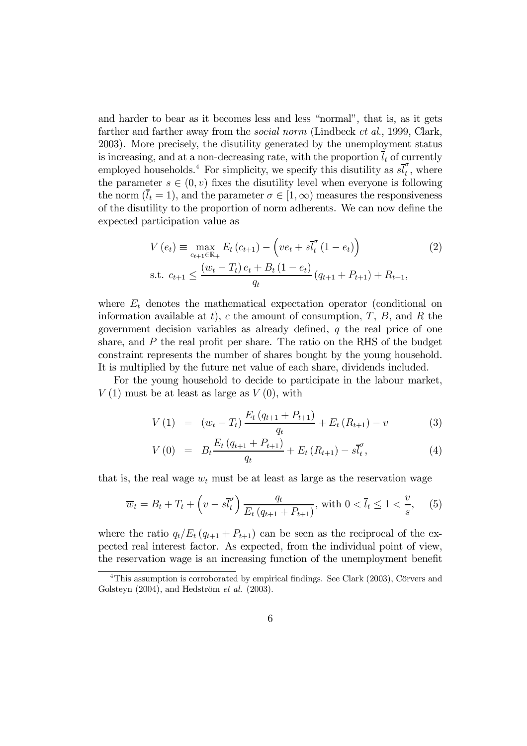and harder to bear as it becomes less and less "normal", that is, as it gets farther and farther away from the *social norm* (Lindbeck *et al.*, 1999, Clark, 2003). More precisely, the disutility generated by the unemployment status is increasing, and at a non-decreasing rate, with the proportion  $l_t$  of currently employed households.<sup>4</sup> For simplicity, we specify this disutility as  $s\overline{l}_t^{\sigma}$  $t<sub>t</sub>$ , where the parameter  $s \in (0, v)$  fixes the disutility level when everyone is following the norm  $(l_t = 1)$ , and the parameter  $\sigma \in [1, \infty)$  measures the responsiveness of the disutility to the proportion of norm adherents. We can now define the expected participation value as

$$
V(e_t) \equiv \max_{c_{t+1} \in \mathbb{R}_+} E_t (c_{t+1}) - (ve_t + s\overline{l}_t^{\sigma} (1 - e_t))
$$
  
s.t.  $c_{t+1} \le \frac{(w_t - T_t) e_t + B_t (1 - e_t)}{q_t} (q_{t+1} + P_{t+1}) + R_{t+1},$  (2)

where  $E_t$  denotes the mathematical expectation operator (conditional on information available at t), c the amount of consumption,  $T$ ,  $B$ , and  $R$  the government decision variables as already defined,  $q$  the real price of one share, and P the real profit per share. The ratio on the RHS of the budget constraint represents the number of shares bought by the young household. It is multiplied by the future net value of each share, dividends included.

For the young household to decide to participate in the labour market,  $V(1)$  must be at least as large as  $V(0)$ , with

$$
V(1) = (w_t - T_t) \frac{E_t (q_{t+1} + P_{t+1})}{q_t} + E_t (R_{t+1}) - v \tag{3}
$$

$$
V(0) = B_t \frac{E_t (q_{t+1} + P_{t+1})}{q_t} + E_t (R_{t+1}) - s \bar{l}_t^{\sigma}, \qquad (4)
$$

that is, the real wage  $w_t$  must be at least as large as the reservation wage

$$
\overline{w}_t = B_t + T_t + \left(v - s\overline{l}_t^{\sigma}\right) \frac{q_t}{E_t \left(q_{t+1} + P_{t+1}\right)}, \text{ with } 0 < \overline{l}_t \le 1 < \frac{v}{s}, \quad (5)
$$

where the ratio  $q_t/E_t (q_{t+1} + P_{t+1})$  can be seen as the reciprocal of the expected real interest factor. As expected, from the individual point of view, the reservation wage is an increasing function of the unemployment benefit

<sup>&</sup>lt;sup>4</sup>This assumption is corroborated by empirical findings. See Clark (2003), Cörvers and Golsteyn (2004), and Hedström et al. (2003).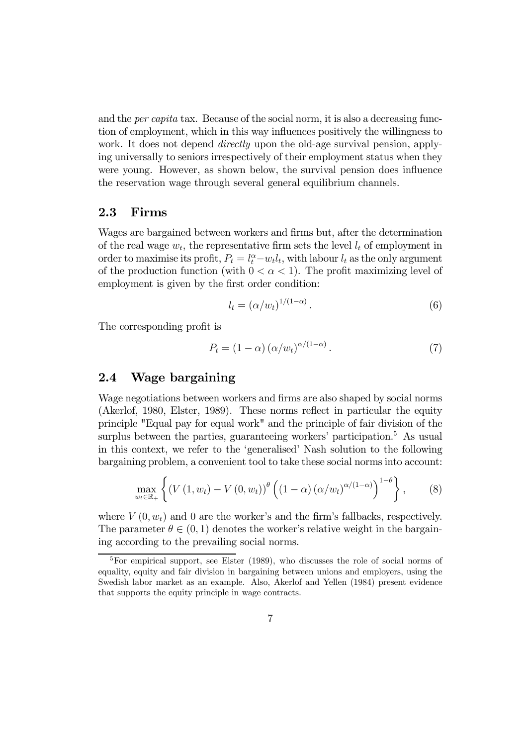and the *per capita* tax. Because of the social norm, it is also a decreasing function of employment, which in this way influences positively the willingness to work. It does not depend *directly* upon the old-age survival pension, applying universally to seniors irrespectively of their employment status when they were young. However, as shown below, the survival pension does influence the reservation wage through several general equilibrium channels.

#### 2.3 Firms

Wages are bargained between workers and firms but, after the determination of the real wage  $w_t$ , the representative firm sets the level  $l_t$  of employment in order to maximise its profit,  $P_t = l_t^{\alpha} - w_t l_t$ , with labour  $l_t$  as the only argument of the production function (with  $0 < \alpha < 1$ ). The profit maximizing level of employment is given by the first order condition:

$$
l_t = (\alpha/w_t)^{1/(1-\alpha)}.
$$
\n(6)

The corresponding profit is

$$
P_t = (1 - \alpha) \left( \alpha / w_t \right)^{\alpha / (1 - \alpha)}.
$$
\n<sup>(7)</sup>

#### 2.4 Wage bargaining

Wage negotiations between workers and firms are also shaped by social norms (Akerlof, 1980, Elster, 1989). These norms reflect in particular the equity principle "Equal pay for equal work" and the principle of fair division of the surplus between the parties, guaranteeing workers' participation.<sup>5</sup> As usual in this context, we refer to the 'generalised' Nash solution to the following bargaining problem, a convenient tool to take these social norms into account:

$$
\max_{w_t \in \mathbb{R}_+} \left\{ \left( V\left(1, w_t\right) - V\left(0, w_t\right) \right)^{\theta} \left( \left(1 - \alpha\right) \left( \alpha / w_t \right)^{\alpha/(1 - \alpha)} \right)^{1 - \theta} \right\},\tag{8}
$$

where  $V(0, w_t)$  and 0 are the worker's and the firm's fallbacks, respectively. The parameter  $\theta \in (0, 1)$  denotes the worker's relative weight in the bargaining according to the prevailing social norms.

<sup>&</sup>lt;sup>5</sup>For empirical support, see Elster (1989), who discusses the role of social norms of equality, equity and fair division in bargaining between unions and employers, using the Swedish labor market as an example. Also, Akerlof and Yellen (1984) present evidence that supports the equity principle in wage contracts.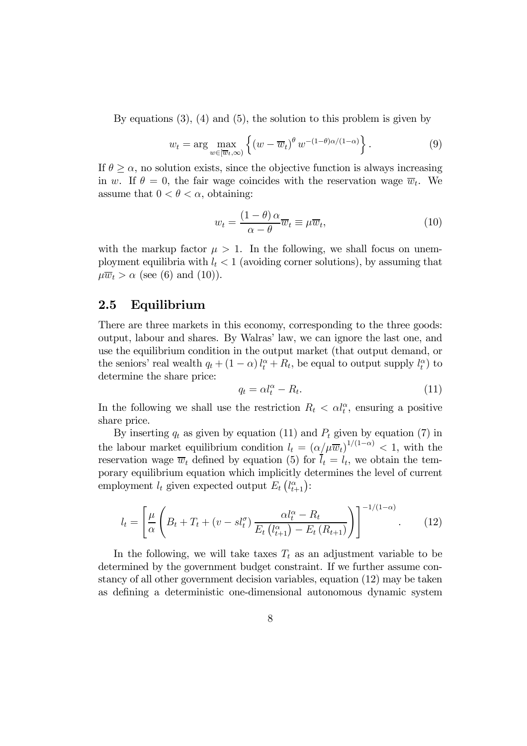By equations (3), (4) and (5), the solution to this problem is given by

$$
w_t = \arg \max_{w \in [\overline{w}_t, \infty)} \left\{ \left( w - \overline{w}_t \right)^{\theta} w^{-(1-\theta)\alpha/(1-\alpha)} \right\}.
$$
 (9)

If  $\theta \geq \alpha$ , no solution exists, since the objective function is always increasing in w. If  $\theta = 0$ , the fair wage coincides with the reservation wage  $\overline{w}_t$ . We assume that  $0 < \theta < \alpha$ , obtaining:

$$
w_t = \frac{(1 - \theta)\,\alpha}{\alpha - \theta}\overline{w}_t \equiv \mu \overline{w}_t,\tag{10}
$$

with the markup factor  $\mu > 1$ . In the following, we shall focus on unemployment equilibria with  $l_t < 1$  (avoiding corner solutions), by assuming that  $\mu \overline{w}_t > \alpha$  (see (6) and (10)).

#### 2.5 Equilibrium

There are three markets in this economy, corresponding to the three goods: output, labour and shares. By Walras' law, we can ignore the last one, and use the equilibrium condition in the output market (that output demand, or the seniors' real wealth  $q_t + (1 - \alpha) l_t^{\alpha} + R_t$ , be equal to output supply  $l_t^{\alpha}$  to determine the share price:

$$
q_t = \alpha l_t^{\alpha} - R_t. \tag{11}
$$

In the following we shall use the restriction  $R_t < \alpha l_t^{\alpha}$ , ensuring a positive share price.

By inserting  $q_t$  as given by equation (11) and  $P_t$  given by equation (7) in the labour market equilibrium condition  $l_t = (\alpha/\mu \overline{w}_t)^{1/(1-\alpha)} < 1$ , with the reservation wage  $\overline{w}_t$  defined by equation (5) for  $l_t = l_t$ , we obtain the temporary equilibrium equation which implicitly determines the level of current employment  $l_t$  given expected output  $E_t(l_{t+1}^{\alpha})$ :

$$
l_{t} = \left[\frac{\mu}{\alpha} \left(B_{t} + T_{t} + (v - s l_{t}^{\sigma}) \frac{\alpha l_{t}^{\alpha} - R_{t}}{E_{t} \left(l_{t+1}^{\alpha}\right) - E_{t} \left(R_{t+1}\right)}\right)\right]^{-1/(1-\alpha)}.
$$
 (12)

In the following, we will take taxes  $T_t$  as an adjustment variable to be determined by the government budget constraint. If we further assume constancy of all other government decision variables, equation (12) may be taken as defining a deterministic one-dimensional autonomous dynamic system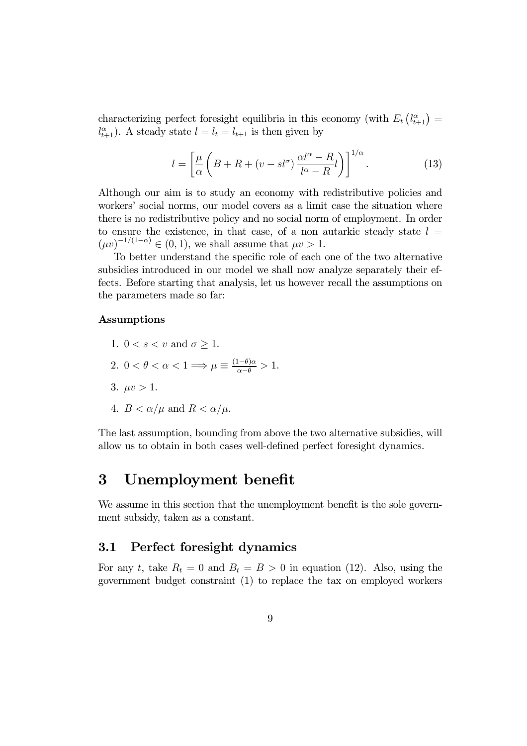characterizing perfect foresight equilibria in this economy (with  $E_t\left(l_{t+1}^{\alpha}\right)$ )  $l_{t+1}^{\alpha}$ ). A steady state  $l = l_t = l_{t+1}$  is then given by

$$
l = \left[\frac{\mu}{\alpha} \left(B + R + (v - sl^{\sigma}) \frac{\alpha l^{\alpha} - R}{l^{\alpha} - R} l\right)\right]^{1/\alpha}.
$$
 (13)

Although our aim is to study an economy with redistributive policies and workers' social norms, our model covers as a limit case the situation where there is no redistributive policy and no social norm of employment. In order to ensure the existence, in that case, of a non autarkic steady state  $l =$  $(\mu v)^{-1/(1-\alpha)} \in (0,1)$ , we shall assume that  $\mu v > 1$ .

To better understand the specific role of each one of the two alternative subsidies introduced in our model we shall now analyze separately their effects. Before starting that analysis, let us however recall the assumptions on the parameters made so far:

#### Assumptions

- 1.  $0 < s < v$  and  $\sigma > 1$ .
- 2.  $0 < \theta < \alpha < 1 \Longrightarrow \mu \equiv \frac{(1-\theta)\alpha}{\alpha-\theta} > 1.$
- 3.  $\mu v > 1$ .
- 4.  $B < \alpha/\mu$  and  $R < \alpha/\mu$ .

The last assumption, bounding from above the two alternative subsidies, will allow us to obtain in both cases well-defined perfect foresight dynamics.

# 3 Unemployment benefit

We assume in this section that the unemployment benefit is the sole government subsidy, taken as a constant.

#### 3.1 Perfect foresight dynamics

For any t, take  $R_t = 0$  and  $B_t = B > 0$  in equation (12). Also, using the government budget constraint (1) to replace the tax on employed workers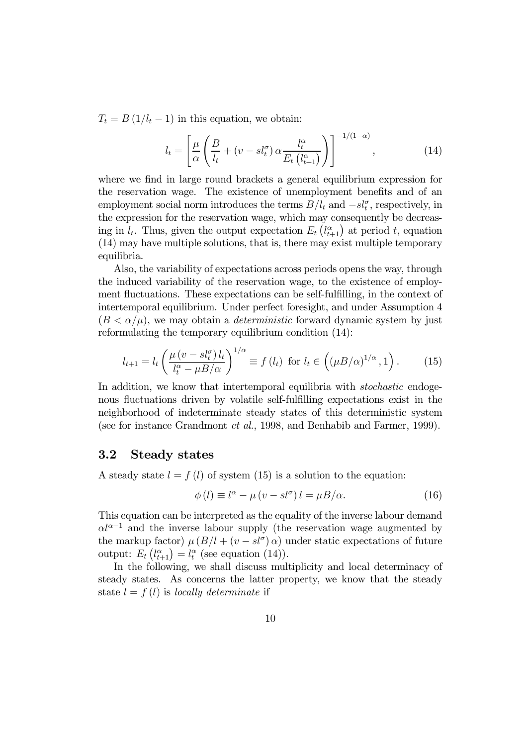$T_t = B(1/l_t - 1)$  in this equation, we obtain:

$$
l_t = \left[\frac{\mu}{\alpha} \left(\frac{B}{l_t} + (v - sl_t^{\sigma}) \alpha \frac{l_t^{\alpha}}{E_t \left(l_{t+1}^{\alpha}\right)}\right)\right]^{-1/(1-\alpha)},\tag{14}
$$

where we find in large round brackets a general equilibrium expression for the reservation wage. The existence of unemployment benefits and of an employment social norm introduces the terms  $B/l_t$  and  $-s\ell_t^{\sigma}$ , respectively, in the expression for the reservation wage, which may consequently be decreasing in  $l_t$ . Thus, given the output expectation  $E_t\left(l_{t+1}^{\alpha}\right)$  at period t, equation (14) may have multiple solutions, that is, there may exist multiple temporary equilibria.

Also, the variability of expectations across periods opens the way, through the induced variability of the reservation wage, to the existence of employment fluctuations. These expectations can be self-fulfilling, in the context of intertemporal equilibrium. Under perfect foresight, and under Assumption 4  $(B < \alpha/\mu)$ , we may obtain a *deterministic* forward dynamic system by just reformulating the temporary equilibrium condition (14):

$$
l_{t+1} = l_t \left( \frac{\mu \left( v - sl_t^{\sigma} \right) l_t}{l_t^{\alpha} - \mu B / \alpha} \right)^{1/\alpha} \equiv f \left( l_t \right) \text{ for } l_t \in \left( (\mu B / \alpha)^{1/\alpha}, 1 \right). \tag{15}
$$

In addition, we know that intertemporal equilibria with *stochastic* endogenous fluctuations driven by volatile self-fulfilling expectations exist in the neighborhood of indeterminate steady states of this deterministic system (see for instance Grandmont et al., 1998, and Benhabib and Farmer, 1999).

#### 3.2 Steady states

A steady state  $l = f(l)$  of system (15) is a solution to the equation:

$$
\phi(l) \equiv l^{\alpha} - \mu \left( v - sl^{\sigma} \right) l = \mu B/\alpha. \tag{16}
$$

This equation can be interpreted as the equality of the inverse labour demand  $\alpha l^{\alpha-1}$  and the inverse labour supply (the reservation wage augmented by the markup factor)  $\mu (B/I + (v - sI^{\sigma}) \alpha)$  under static expectations of future output:  $E_t(l_{t+1}^{\alpha}) = l_t^{\alpha}$  (see equation (14)).

In the following, we shall discuss multiplicity and local determinacy of steady states. As concerns the latter property, we know that the steady state  $l = f(l)$  is locally determinate if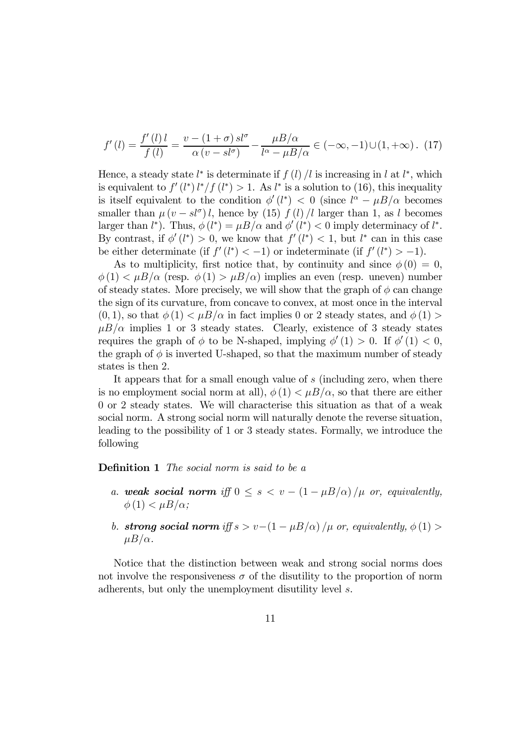$$
f'(l) = \frac{f'(l)l}{f(l)} = \frac{v - (1+\sigma)s l^{\sigma}}{\alpha (v - s l^{\sigma})} - \frac{\mu B/\alpha}{l^{\alpha} - \mu B/\alpha} \in (-\infty, -1) \cup (1, +\infty). \tag{17}
$$

Hence, a steady state  $l^*$  is determinate if  $f(l) / l$  is increasing in l at  $l^*$ , which is equivalent to  $f'(l^*) l^* / f(l^*) > 1$ . As  $l^*$  is a solution to (16), this inequality is itself equivalent to the condition  $\phi'(l^*) < 0$  (since  $l^{\alpha} - \mu B/\alpha$  becomes smaller than  $\mu(v - sl^{\sigma}) l$ , hence by (15) f (l) |l larger than 1, as l becomes larger than  $l^*$ ). Thus,  $\phi(l^*) = \mu B/\alpha$  and  $\phi'(l^*) < 0$  imply determinacy of  $l^*$ . By contrast, if  $\phi'(l^*) > 0$ , we know that  $f'(l^*) < 1$ , but  $l^*$  can in this case be either determinate (if  $f'(l^*) < -1$ ) or indeterminate (if  $f'(l^*) > -1$ ).

As to multiplicity, first notice that, by continuity and since  $\phi(0) = 0$ ,  $\phi(1) < \mu B/\alpha$  (resp.  $\phi(1) > \mu B/\alpha$ ) implies an even (resp. uneven) number of steady states. More precisely, we will show that the graph of  $\phi$  can change the sign of its curvature, from concave to convex, at most once in the interval  $(0, 1)$ , so that  $\phi(1) < \mu B/\alpha$  in fact implies 0 or 2 steady states, and  $\phi(1) >$  $\mu B/\alpha$  implies 1 or 3 steady states. Clearly, existence of 3 steady states requires the graph of  $\phi$  to be N-shaped, implying  $\phi'(1) > 0$ . If  $\phi'(1) < 0$ , the graph of  $\phi$  is inverted U-shaped, so that the maximum number of steady states is then 2.

It appears that for a small enough value of s (including zero, when there is no employment social norm at all),  $\phi(1) < \mu B/\alpha$ , so that there are either 0 or 2 steady states. We will characterise this situation as that of a weak social norm. A strong social norm will naturally denote the reverse situation, leading to the possibility of 1 or 3 steady states. Formally, we introduce the following

Definition 1 The social norm is said to be a

- a. weak social norm iff  $0 \leq s < v (1 \mu B/\alpha)/\mu$  or, equivalently,  $\phi(1) < \mu B/\alpha$ ;
- b. strong social norm iff  $s > v-(1-\mu B/\alpha)/\mu$  or, equivalently,  $\phi(1) >$  $\mu B/\alpha$ .

Notice that the distinction between weak and strong social norms does not involve the responsiveness  $\sigma$  of the disutility to the proportion of norm adherents, but only the unemployment disutility level s.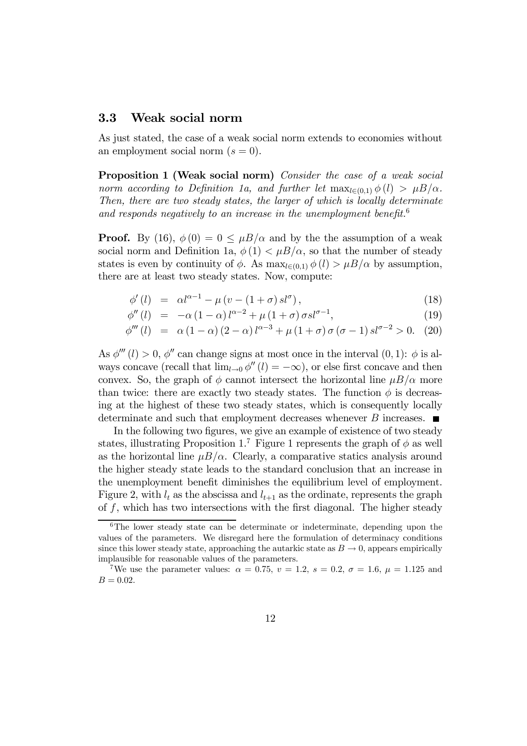#### 3.3 Weak social norm

As just stated, the case of a weak social norm extends to economies without an employment social norm  $(s = 0)$ .

Proposition 1 (Weak social norm) Consider the case of a weak social norm according to Definition 1a, and further let  $\max_{l \in (0,1)} \phi(l) > \mu B/\alpha$ . Then, there are two steady states, the larger of which is locally determinate and responds negatively to an increase in the unemployment benefit.<sup>6</sup>

**Proof.** By (16),  $\phi(0) = 0 \leq \mu B/\alpha$  and by the the assumption of a weak social norm and Definition 1a,  $\phi(1) < \mu B/\alpha$ , so that the number of steady states is even by continuity of  $\phi$ . As  $\max_{l \in (0,1)} \phi(l) > \mu B/\alpha$  by assumption, there are at least two steady states. Now, compute:

$$
\phi'(l) = \alpha l^{\alpha - 1} - \mu \left( v - (1 + \sigma) s l^{\sigma} \right), \tag{18}
$$

$$
\phi''(l) = -\alpha (1 - \alpha) l^{\alpha - 2} + \mu (1 + \sigma) \sigma s l^{\sigma - 1}, \tag{19}
$$

$$
\phi'''(l) = \alpha (1 - \alpha) (2 - \alpha) l^{\alpha - 3} + \mu (1 + \sigma) \sigma (\sigma - 1) s l^{\sigma - 2} > 0. \tag{20}
$$

As  $\phi'''(l) > 0$ ,  $\phi''$  can change signs at most once in the interval  $(0, 1)$ :  $\phi$  is always concave (recall that  $\lim_{l\to 0} \phi''(l) = -\infty$ ), or else first concave and then convex. So, the graph of  $\phi$  cannot intersect the horizontal line  $\mu B/\alpha$  more than twice: there are exactly two steady states. The function  $\phi$  is decreasing at the highest of these two steady states, which is consequently locally determinate and such that employment decreases whenever  $B$  increases.  $\blacksquare$ 

In the following two figures, we give an example of existence of two steady states, illustrating Proposition 1.<sup>7</sup> Figure 1 represents the graph of  $\phi$  as well as the horizontal line  $\mu B/\alpha$ . Clearly, a comparative statics analysis around the higher steady state leads to the standard conclusion that an increase in the unemployment benefit diminishes the equilibrium level of employment. Figure 2, with  $l_t$  as the abscissa and  $l_{t+1}$  as the ordinate, represents the graph of f, which has two intersections with the first diagonal. The higher steady

 $6$ The lower steady state can be determinate or indeterminate, depending upon the values of the parameters. We disregard here the formulation of determinacy conditions since this lower steady state, approaching the autarkic state as  $B \to 0$ , appears empirically implausible for reasonable values of the parameters.

<sup>&</sup>lt;sup>7</sup>We use the parameter values:  $\alpha = 0.75$ ,  $v = 1.2$ ,  $s = 0.2$ ,  $\sigma = 1.6$ ,  $\mu = 1.125$  and  $B = 0.02$ .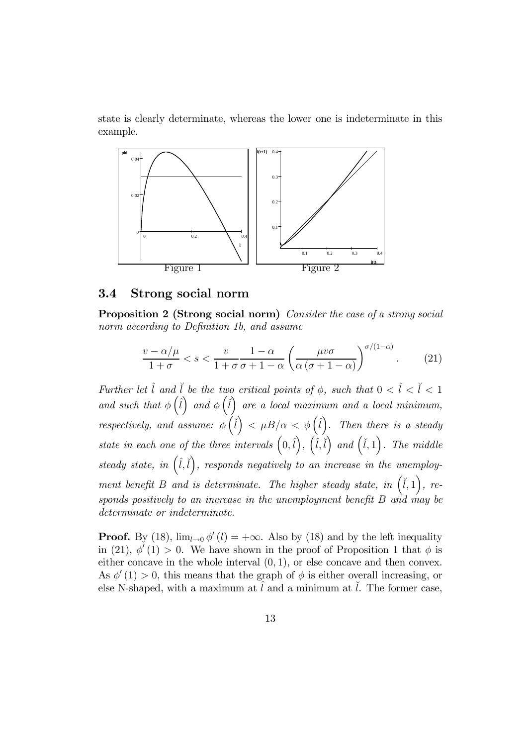state is clearly determinate, whereas the lower one is indeterminate in this example.



#### 3.4 Strong social norm

Proposition 2 (Strong social norm) Consider the case of a strong social norm according to Definition 1b, and assume

$$
\frac{v - \alpha/\mu}{1 + \sigma} < s < \frac{v}{1 + \sigma} \frac{1 - \alpha}{\sigma + 1 - \alpha} \left( \frac{\mu v \sigma}{\alpha (\sigma + 1 - \alpha)} \right)^{\sigma/(1 - \alpha)} . \tag{21}
$$

Further let  $\hat{l}$  and  $\check{l}$  be the two critical points of  $\phi$ , such that  $0 < \hat{l} < \check{l} < 1$ and such that  $\phi\left(\hat{i}\right)$  and  $\phi\left(\hat{i}\right)$  are a local maximum and a local minimum, respectively, and assume:  $\phi(\tilde{i}) < \mu B/\alpha < \phi(\hat{i})$ . Then there is a steady state in each one of the three intervals  $(0, \hat{i})$ ,  $(\hat{i}, \hat{i})$  and  $(\check{i}, 1)$ . The middle steady state, in  $(i, i)$ , responds negatively to an increase in the unemployment benefit B and is determinate. The higher steady state, in  $(\check{i}, 1)$ , responds positively to an increase in the unemployment benefit B and may be determinate or indeterminate.

**Proof.** By (18),  $\lim_{l\to 0} \phi'(l) = +\infty$ . Also by (18) and by the left inequality in (21),  $\phi'(1) > 0$ . We have shown in the proof of Proposition 1 that  $\phi$  is either concave in the whole interval  $(0, 1)$ , or else concave and then convex. As  $\phi'(1) > 0$ , this means that the graph of  $\phi$  is either overall increasing, or else N-shaped, with a maximum at  $\hat{l}$  and a minimum at  $\hat{l}$ . The former case,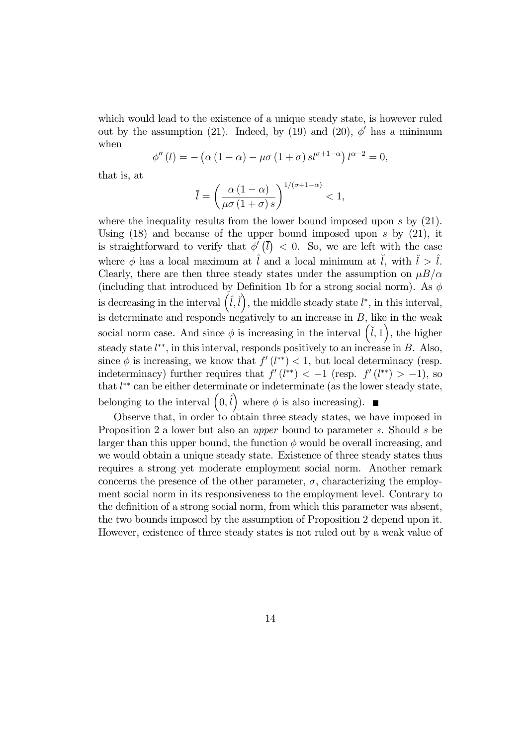which would lead to the existence of a unique steady state, is however ruled out by the assumption (21). Indeed, by (19) and (20),  $\phi'$  has a minimum when

$$
\phi''(l) = -(\alpha (1 - \alpha) - \mu \sigma (1 + \sigma) s l^{\sigma+1-\alpha}) l^{\alpha-2} = 0,
$$

that is, at

$$
\overline{l} = \left(\frac{\alpha \left(1 - \alpha\right)}{\mu \sigma \left(1 + \sigma\right) s}\right)^{1/(\sigma + 1 - \alpha)} < 1,
$$

where the inequality results from the lower bound imposed upon s by  $(21)$ . Using  $(18)$  and because of the upper bound imposed upon s by  $(21)$ , it is straightforward to verify that  $\phi'(\bar{l}) < 0$ . So, we are left with the case where  $\phi$  has a local maximum at  $\hat{l}$  and a local minimum at  $\check{l}$ , with  $\check{l} > \hat{l}$ . Clearly, there are then three steady states under the assumption on  $\mu B/\alpha$ (including that introduced by Definition 1b for a strong social norm). As  $\phi$ is decreasing in the interval  $(i, i)$ , the middle steady state  $l^*$ , in this interval, is determinate and responds negatively to an increase in  $B$ , like in the weak social norm case. And since  $\phi$  is increasing in the interval  $(\check{l}, 1)$ , the higher steady state  $l^{**}$ , in this interval, responds positively to an increase in B. Also, since  $\phi$  is increasing, we know that  $f'(l^{**}) < 1$ , but local determinacy (resp. indeterminacy) further requires that  $f'(l^{**}) < -1$  (resp.  $f'(l^{**}) > -1$ ), so that l ∗∗ can be either determinate or indeterminate (as the lower steady state, belonging to the interval  $(0, \hat{l})$  where  $\phi$  is also increasing).

Observe that, in order to obtain three steady states, we have imposed in Proposition 2 a lower but also an upper bound to parameter s. Should s be larger than this upper bound, the function  $\phi$  would be overall increasing, and we would obtain a unique steady state. Existence of three steady states thus requires a strong yet moderate employment social norm. Another remark concerns the presence of the other parameter,  $\sigma$ , characterizing the employment social norm in its responsiveness to the employment level. Contrary to the definition of a strong social norm, from which this parameter was absent, the two bounds imposed by the assumption of Proposition 2 depend upon it. However, existence of three steady states is not ruled out by a weak value of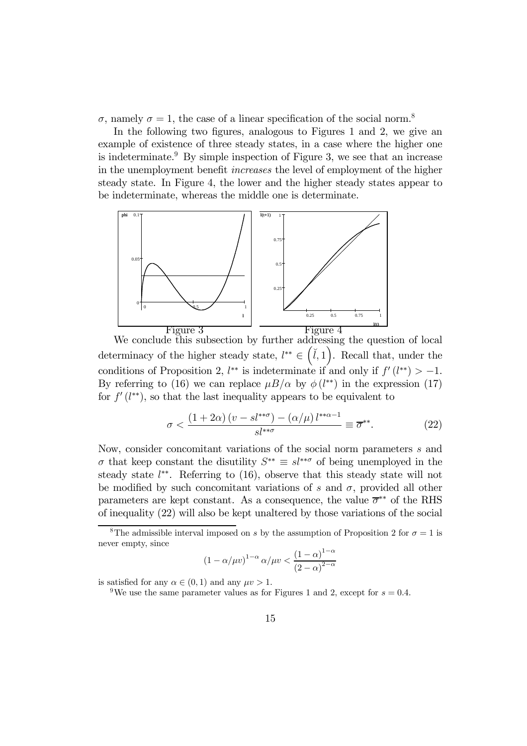σ, namely  $σ = 1$ , the case of a linear specification of the social norm.<sup>8</sup>

In the following two figures, analogous to Figures 1 and 2, we give an example of existence of three steady states, in a case where the higher one is indeterminate.<sup>9</sup> By simple inspection of Figure 3, we see that an increase in the unemployment benefit increases the level of employment of the higher steady state. In Figure 4, the lower and the higher steady states appear to be indeterminate, whereas the middle one is determinate.



We conclude this subsection by further addressing the question of local determinacy of the higher steady state,  $l^{**} \in (\mathcal{V}, 1)$ . Recall that, under the conditions of Proposition 2,  $l^{**}$  is indeterminate if and only if  $f'(l^{**}) > -1$ . By referring to (16) we can replace  $\mu B/\alpha$  by  $\phi(l^{**})$  in the expression (17) for  $f'(l^{**})$ , so that the last inequality appears to be equivalent to

$$
\sigma < \frac{\left(1+2\alpha\right)\left(v-s l^{**}\sigma\right)-\left(\alpha/\mu\right) l^{**\alpha-1}}{sl^{**\sigma}} \equiv \overline{\sigma}^{**}.\tag{22}
$$

Now, consider concomitant variations of the social norm parameters s and  $\sigma$  that keep constant the disutility  $S^{**} \equiv sl^{**\sigma}$  of being unemployed in the steady state  $l^{**}$ . Referring to  $(16)$ , observe that this steady state will not be modified by such concomitant variations of s and  $\sigma$ , provided all other parameters are kept constant. As a consequence, the value  $\bar{\sigma}^{**}$  of the RHS of inequality (22) will also be kept unaltered by those variations of the social

$$
(1 - \alpha/\mu v)^{1-\alpha} \alpha/\mu v < \frac{(1-\alpha)^{1-\alpha}}{(2-\alpha)^{2-\alpha}}
$$

is satisfied for any  $\alpha \in (0, 1)$  and any  $\mu v > 1$ .

<sup>&</sup>lt;sup>8</sup>The admissible interval imposed on s by the assumption of Proposition 2 for  $\sigma = 1$  is never empty, since

<sup>&</sup>lt;sup>9</sup>We use the same parameter values as for Figures 1 and 2, except for  $s = 0.4$ .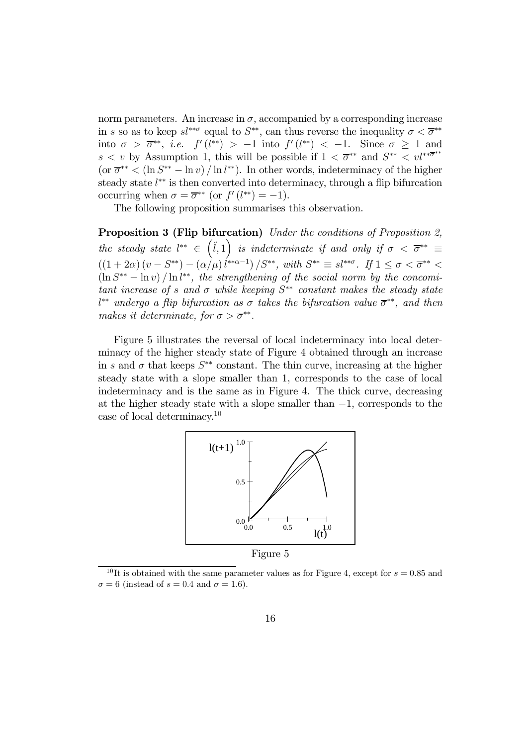norm parameters. An increase in  $\sigma$ , accompanied by a corresponding increase in s so as to keep  $sl^{**\sigma}$  equal to  $S^{**}$ , can thus reverse the inequality  $\sigma < \overline{\sigma}^{**}$ into  $\sigma > \overline{\sigma}^{**}$ , *i.e.*  $f'(l^{**}) > -1$  into  $f'(l^{**}) < -1$ . Since  $\sigma \geq 1$  and  $s < v$  by Assumption 1, this will be possible if  $1 < \overline{\sigma}^{**}$  and  $S^{**} < v l^{**} \overline{\sigma}^{**}$  $(\text{or } \overline{\sigma}^{**} < (\ln S^{**} - \ln v) / \ln l^{**})$ . In other words, indeterminacy of the higher steady state  $l^{**}$  is then converted into determinacy, through a flip bifurcation occurring when  $\sigma = \overline{\sigma}^{**}$  (or  $f'(l^{**}) = -1$ ).

The following proposition summarises this observation.

Proposition 3 (Flip bifurcation) Under the conditions of Proposition 2, the steady state  $l^{**} \in (\check{l}, 1)$  is indeterminate if and only if  $\sigma < \overline{\sigma}^{**} \equiv$  $((1+2\alpha)(v-S^{**})-(\alpha/\mu)(^{**\alpha-1})/S^{**}, \text{ with } S^{**} \equiv sl^{**\sigma}. \text{ If } 1 \leq \sigma < \overline{\sigma}^{**} <$  $(\ln S^{**} - \ln v) / \ln l^{**}$ , the strengthening of the social norm by the concomitant increase of s and  $\sigma$  while keeping  $S^{**}$  constant makes the steady state  $l^{**}$  undergo a flip bifurcation as  $\sigma$  takes the bifurcation value  $\overline{\sigma}^{**}$ , and then makes it determinate, for  $\sigma > \overline{\sigma}^{**}$ .

Figure 5 illustrates the reversal of local indeterminacy into local determinacy of the higher steady state of Figure 4 obtained through an increase in s and  $\sigma$  that keeps  $S^{**}$  constant. The thin curve, increasing at the higher steady state with a slope smaller than 1, corresponds to the case of local indeterminacy and is the same as in Figure 4. The thick curve, decreasing at the higher steady state with a slope smaller than −1, corresponds to the case of local determinacy.<sup>10</sup>



<sup>&</sup>lt;sup>10</sup>It is obtained with the same parameter values as for Figure 4, except for  $s = 0.85$  and  $\sigma = 6$  (instead of  $s = 0.4$  and  $\sigma = 1.6$ ).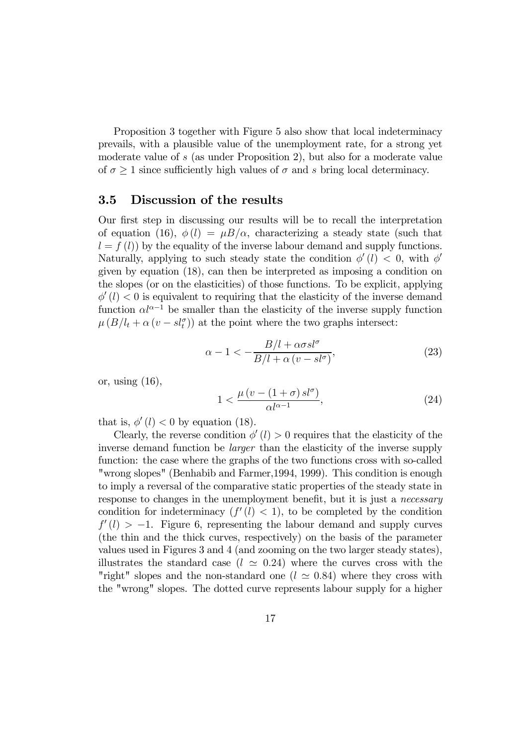Proposition 3 together with Figure 5 also show that local indeterminacy prevails, with a plausible value of the unemployment rate, for a strong yet moderate value of s (as under Proposition 2), but also for a moderate value of  $\sigma \geq 1$  since sufficiently high values of  $\sigma$  and s bring local determinacy.

#### 3.5 Discussion of the results

Our first step in discussing our results will be to recall the interpretation of equation (16),  $\phi(l) = \mu B/\alpha$ , characterizing a steady state (such that  $l = f(l)$  by the equality of the inverse labour demand and supply functions. Naturally, applying to such steady state the condition  $\phi'(l) < 0$ , with  $\phi''$ given by equation (18), can then be interpreted as imposing a condition on the slopes (or on the elasticities) of those functions. To be explicit, applying  $\phi'(l) < 0$  is equivalent to requiring that the elasticity of the inverse demand function  $\alpha l^{\alpha-1}$  be smaller than the elasticity of the inverse supply function  $\mu(B/l_t + \alpha (v - sl_t^{\sigma}))$  at the point where the two graphs intersect:

$$
\alpha - 1 < -\frac{B/l + \alpha \sigma s l^{\sigma}}{B/l + \alpha \left(v - s l^{\sigma}\right)},\tag{23}
$$

or, using (16),

$$
1 < \frac{\mu\left(v - \left(1 + \sigma\right)sl^{\sigma}\right)}{\alpha l^{\alpha - 1}},\tag{24}
$$

that is,  $\phi'(l) < 0$  by equation (18).

Clearly, the reverse condition  $\phi'(l) > 0$  requires that the elasticity of the inverse demand function be larger than the elasticity of the inverse supply function: the case where the graphs of the two functions cross with so-called "wrong slopes" (Benhabib and Farmer,1994, 1999). This condition is enough to imply a reversal of the comparative static properties of the steady state in response to changes in the unemployment benefit, but it is just a *necessary* condition for indeterminacy  $(f'(l) < 1)$ , to be completed by the condition  $f'(l) > -1$ . Figure 6, representing the labour demand and supply curves (the thin and the thick curves, respectively) on the basis of the parameter values used in Figures 3 and 4 (and zooming on the two larger steady states), illustrates the standard case ( $l \approx 0.24$ ) where the curves cross with the "right" slopes and the non-standard one ( $l \approx 0.84$ ) where they cross with the "wrong" slopes. The dotted curve represents labour supply for a higher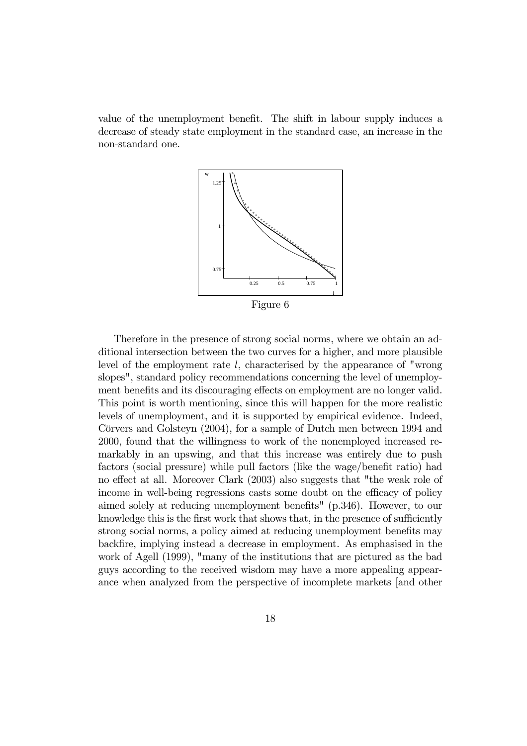value of the unemployment benefit. The shift in labour supply induces a decrease of steady state employment in the standard case, an increase in the non-standard one.



Therefore in the presence of strong social norms, where we obtain an additional intersection between the two curves for a higher, and more plausible level of the employment rate  $l$ , characterised by the appearance of "wrong slopes", standard policy recommendations concerning the level of unemployment benefits and its discouraging effects on employment are no longer valid. This point is worth mentioning, since this will happen for the more realistic levels of unemployment, and it is supported by empirical evidence. Indeed, Cörvers and Golsteyn (2004), for a sample of Dutch men between 1994 and 2000, found that the willingness to work of the nonemployed increased remarkably in an upswing, and that this increase was entirely due to push factors (social pressure) while pull factors (like the wage/benefit ratio) had no effect at all. Moreover Clark (2003) also suggests that "the weak role of income in well-being regressions casts some doubt on the efficacy of policy aimed solely at reducing unemployment benefits" (p.346). However, to our knowledge this is the first work that shows that, in the presence of sufficiently strong social norms, a policy aimed at reducing unemployment benefits may backfire, implying instead a decrease in employment. As emphasised in the work of Agell (1999), "many of the institutions that are pictured as the bad guys according to the received wisdom may have a more appealing appearance when analyzed from the perspective of incomplete markets [and other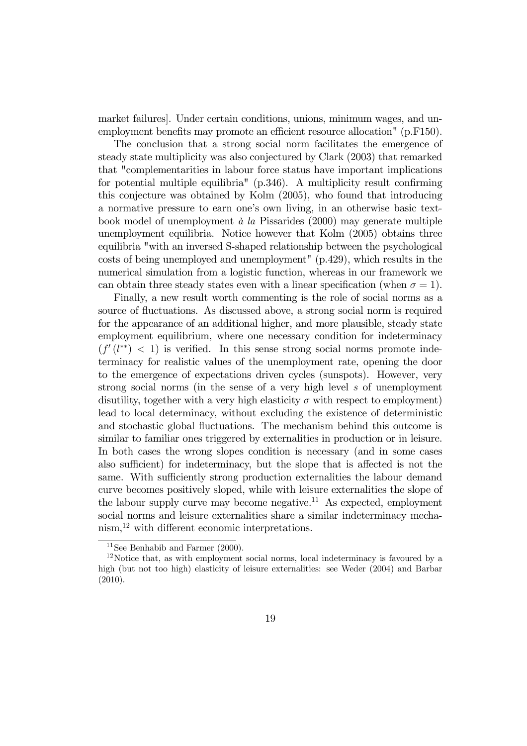market failures]. Under certain conditions, unions, minimum wages, and unemployment benefits may promote an efficient resource allocation" (p.F150).

The conclusion that a strong social norm facilitates the emergence of steady state multiplicity was also conjectured by Clark (2003) that remarked that "complementarities in labour force status have important implications for potential multiple equilibria" (p.346). A multiplicity result confirming this conjecture was obtained by Kolm (2005), who found that introducing a normative pressure to earn one's own living, in an otherwise basic textbook model of unemployment  $\dot{a}$  la Pissarides (2000) may generate multiple unemployment equilibria. Notice however that Kolm (2005) obtains three equilibria "with an inversed S-shaped relationship between the psychological costs of being unemployed and unemployment" (p.429), which results in the numerical simulation from a logistic function, whereas in our framework we can obtain three steady states even with a linear specification (when  $\sigma = 1$ ).

Finally, a new result worth commenting is the role of social norms as a source of fluctuations. As discussed above, a strong social norm is required for the appearance of an additional higher, and more plausible, steady state employment equilibrium, where one necessary condition for indeterminacy  $(f'(l^{**}) < 1)$  is verified. In this sense strong social norms promote indeterminacy for realistic values of the unemployment rate, opening the door to the emergence of expectations driven cycles (sunspots). However, very strong social norms (in the sense of a very high level s of unemployment disutility, together with a very high elasticity  $\sigma$  with respect to employment) lead to local determinacy, without excluding the existence of deterministic and stochastic global fluctuations. The mechanism behind this outcome is similar to familiar ones triggered by externalities in production or in leisure. In both cases the wrong slopes condition is necessary (and in some cases also sufficient) for indeterminacy, but the slope that is affected is not the same. With sufficiently strong production externalities the labour demand curve becomes positively sloped, while with leisure externalities the slope of the labour supply curve may become negative.<sup>11</sup> As expected, employment social norms and leisure externalities share a similar indeterminacy mechanism,<sup>12</sup> with different economic interpretations.

<sup>&</sup>lt;sup>11</sup>See Benhabib and Farmer  $(2000)$ .

<sup>12</sup>Notice that, as with employment social norms, local indeterminacy is favoured by a high (but not too high) elasticity of leisure externalities: see Weder (2004) and Barbar (2010).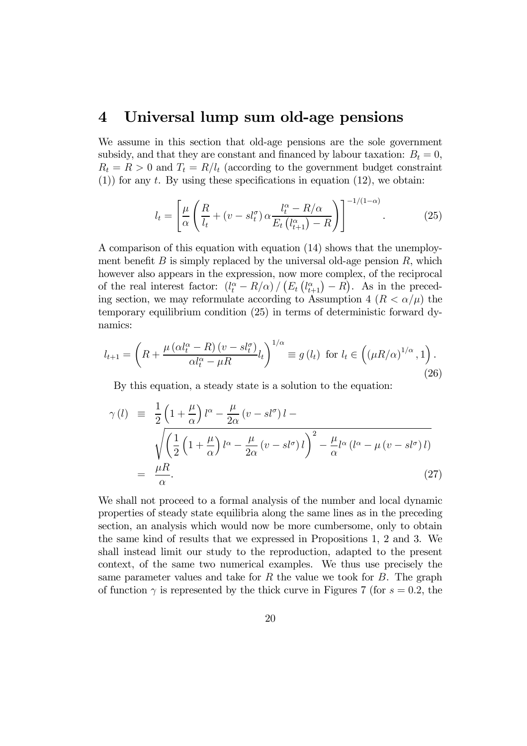# 4 Universal lump sum old-age pensions

We assume in this section that old-age pensions are the sole government subsidy, and that they are constant and financed by labour taxation:  $B_t = 0$ ,  $R_t = R > 0$  and  $T_t = R/l_t$  (according to the government budget constraint (1)) for any t. By using these specifications in equation (12), we obtain:

$$
l_t = \left[ \frac{\mu}{\alpha} \left( \frac{R}{l_t} + (v - s l_t^{\sigma}) \alpha \frac{l_t^{\alpha} - R/\alpha}{E_t \left( l_{t+1}^{\alpha} \right) - R} \right) \right]^{-1/(1-\alpha)}.
$$
 (25)

A comparison of this equation with equation (14) shows that the unemployment benefit B is simply replaced by the universal old-age pension  $R$ , which however also appears in the expression, now more complex, of the reciprocal of the real interest factor:  $(l_t^{\alpha} - R/\alpha) / (E_t (l_{t+1}^{\alpha}) - R)$ . As in the preceding section, we may reformulate according to Assumption 4  $(R < \alpha/\mu)$  the temporary equilibrium condition (25) in terms of deterministic forward dynamics:

$$
l_{t+1} = \left(R + \frac{\mu\left(\alpha l_t^{\alpha} - R\right)(v - s l_t^{\sigma})}{\alpha l_t^{\alpha} - \mu R} l_t\right)^{1/\alpha} \equiv g\left(l_t\right) \text{ for } l_t \in \left(\left(\mu R/\alpha\right)^{1/\alpha}, 1\right). \tag{26}
$$

By this equation, a steady state is a solution to the equation:

$$
\gamma(l) \equiv \frac{1}{2} \left( 1 + \frac{\mu}{\alpha} \right) l^{\alpha} - \frac{\mu}{2\alpha} \left( v - sl^{\sigma} \right) l - \sqrt{\left( \frac{1}{2} \left( 1 + \frac{\mu}{\alpha} \right) l^{\alpha} - \frac{\mu}{2\alpha} \left( v - sl^{\sigma} \right) l \right)^{2} - \frac{\mu}{\alpha} l^{\alpha} \left( l^{\alpha} - \mu \left( v - sl^{\sigma} \right) l \right)}
$$
\n
$$
= \frac{\mu R}{\alpha}.
$$
\n(27)

We shall not proceed to a formal analysis of the number and local dynamic properties of steady state equilibria along the same lines as in the preceding section, an analysis which would now be more cumbersome, only to obtain the same kind of results that we expressed in Propositions 1, 2 and 3. We shall instead limit our study to the reproduction, adapted to the present context, of the same two numerical examples. We thus use precisely the same parameter values and take for  $R$  the value we took for  $B$ . The graph of function  $\gamma$  is represented by the thick curve in Figures 7 (for  $s = 0.2$ , the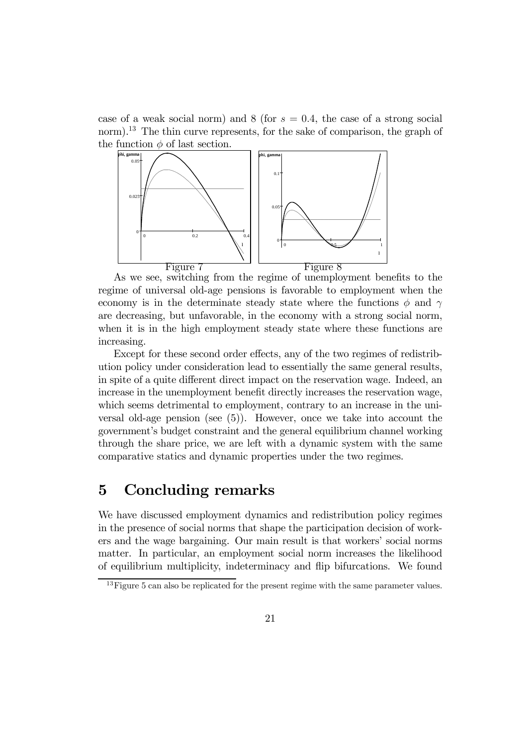case of a weak social norm) and  $8$  (for  $s = 0.4$ , the case of a strong social norm).<sup>13</sup> The thin curve represents, for the sake of comparison, the graph of the function  $\phi$  of last section.



As we see, switching from the regime of unemployment benefits to the regime of universal old-age pensions is favorable to employment when the economy is in the determinate steady state where the functions  $\phi$  and  $\gamma$ are decreasing, but unfavorable, in the economy with a strong social norm, when it is in the high employment steady state where these functions are increasing.

Except for these second order effects, any of the two regimes of redistribution policy under consideration lead to essentially the same general results, in spite of a quite different direct impact on the reservation wage. Indeed, an increase in the unemployment benefit directly increases the reservation wage, which seems detrimental to employment, contrary to an increase in the universal old-age pension (see (5)). However, once we take into account the government's budget constraint and the general equilibrium channel working through the share price, we are left with a dynamic system with the same comparative statics and dynamic properties under the two regimes.

# 5 Concluding remarks

We have discussed employment dynamics and redistribution policy regimes in the presence of social norms that shape the participation decision of workers and the wage bargaining. Our main result is that workers' social norms matter. In particular, an employment social norm increases the likelihood of equilibrium multiplicity, indeterminacy and flip bifurcations. We found

<sup>&</sup>lt;sup>13</sup>Figure 5 can also be replicated for the present regime with the same parameter values.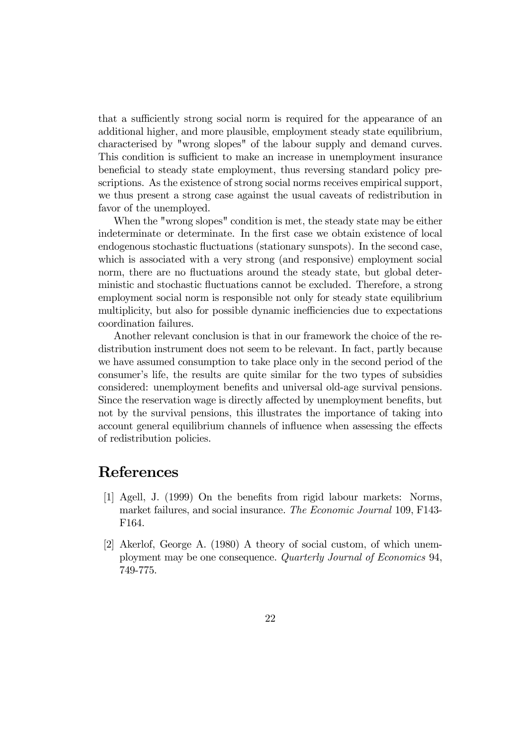that a sufficiently strong social norm is required for the appearance of an additional higher, and more plausible, employment steady state equilibrium, characterised by "wrong slopes" of the labour supply and demand curves. This condition is sufficient to make an increase in unemployment insurance beneficial to steady state employment, thus reversing standard policy prescriptions. As the existence of strong social norms receives empirical support, we thus present a strong case against the usual caveats of redistribution in favor of the unemployed.

When the "wrong slopes" condition is met, the steady state may be either indeterminate or determinate. In the first case we obtain existence of local endogenous stochastic fluctuations (stationary sunspots). In the second case, which is associated with a very strong (and responsive) employment social norm, there are no fluctuations around the steady state, but global deterministic and stochastic fluctuations cannot be excluded. Therefore, a strong employment social norm is responsible not only for steady state equilibrium multiplicity, but also for possible dynamic inefficiencies due to expectations coordination failures.

Another relevant conclusion is that in our framework the choice of the redistribution instrument does not seem to be relevant. In fact, partly because we have assumed consumption to take place only in the second period of the consumer's life, the results are quite similar for the two types of subsidies considered: unemployment benefits and universal old-age survival pensions. Since the reservation wage is directly affected by unemployment benefits, but not by the survival pensions, this illustrates the importance of taking into account general equilibrium channels of influence when assessing the effects of redistribution policies.

# References

- [1] Agell, J. (1999) On the benefits from rigid labour markets: Norms, market failures, and social insurance. The Economic Journal 109, F143- F164.
- [2] Akerlof, George A. (1980) A theory of social custom, of which unemployment may be one consequence. Quarterly Journal of Economics 94, 749-775.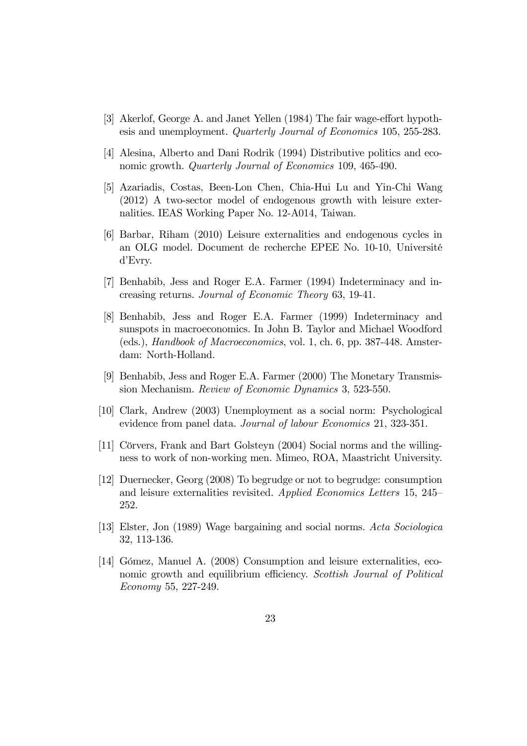- [3] Akerlof, George A. and Janet Yellen (1984) The fair wage-effort hypothesis and unemployment. Quarterly Journal of Economics 105, 255-283.
- [4] Alesina, Alberto and Dani Rodrik (1994) Distributive politics and economic growth. *Quarterly Journal of Economics* 109, 465-490.
- [5] Azariadis, Costas, Been-Lon Chen, Chia-Hui Lu and Yin-Chi Wang (2012) A two-sector model of endogenous growth with leisure externalities. IEAS Working Paper No. 12-A014, Taiwan.
- [6] Barbar, Riham (2010) Leisure externalities and endogenous cycles in an OLG model. Document de recherche EPEE No. 10-10, Université d'Evry.
- [7] Benhabib, Jess and Roger E.A. Farmer (1994) Indeterminacy and increasing returns. Journal of Economic Theory 63, 19-41.
- [8] Benhabib, Jess and Roger E.A. Farmer (1999) Indeterminacy and sunspots in macroeconomics. In John B. Taylor and Michael Woodford (eds.), Handbook of Macroeconomics, vol. 1, ch. 6, pp. 387-448. Amsterdam: North-Holland.
- [9] Benhabib, Jess and Roger E.A. Farmer (2000) The Monetary Transmission Mechanism. Review of Economic Dynamics 3, 523-550.
- [10] Clark, Andrew (2003) Unemployment as a social norm: Psychological evidence from panel data. Journal of labour Economics 21, 323-351.
- [11] Cörvers, Frank and Bart Golsteyn (2004) Social norms and the willingness to work of non-working men. Mimeo, ROA, Maastricht University.
- [12] Duernecker, Georg (2008) To begrudge or not to begrudge: consumption and leisure externalities revisited. Applied Economics Letters 15, 245— 252.
- [13] Elster, Jon (1989) Wage bargaining and social norms. Acta Sociologica 32, 113-136.
- [14] Gómez, Manuel A. (2008) Consumption and leisure externalities, economic growth and equilibrium efficiency. Scottish Journal of Political Economy 55, 227-249.